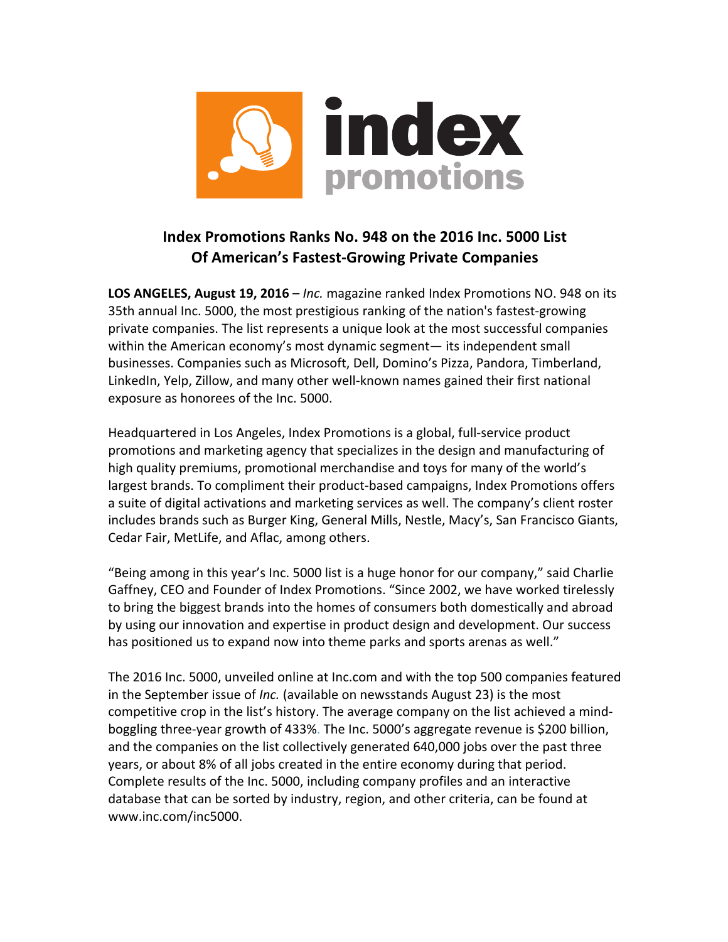

## **Index Promotions Ranks No. 948 on the 2016 Inc. 5000 List Of American's Fastest-Growing Private Companies**

**LOS ANGELES, August 19, 2016** – *Inc.* magazine ranked Index Promotions NO. 948 on its 35th annual Inc. 5000, the most prestigious ranking of the nation's fastest-growing private companies. The list represents a unique look at the most successful companies within the American economy's most dynamic segment— its independent small businesses. Companies such as Microsoft, Dell, Domino's Pizza, Pandora, Timberland, LinkedIn, Yelp, Zillow, and many other well-known names gained their first national exposure as honorees of the Inc. 5000.

Headquartered in Los Angeles, Index Promotions is a global, full-service product promotions and marketing agency that specializes in the design and manufacturing of high quality premiums, promotional merchandise and toys for many of the world's largest brands. To compliment their product-based campaigns, Index Promotions offers a suite of digital activations and marketing services as well. The company's client roster includes brands such as Burger King, General Mills, Nestle, Macy's, San Francisco Giants, Cedar Fair, MetLife, and Aflac, among others.

"Being among in this year's Inc. 5000 list is a huge honor for our company," said Charlie Gaffney, CEO and Founder of Index Promotions. "Since 2002, we have worked tirelessly to bring the biggest brands into the homes of consumers both domestically and abroad by using our innovation and expertise in product design and development. Our success has positioned us to expand now into theme parks and sports arenas as well."

The 2016 Inc. 5000, unveiled online at Inc.com and with the top 500 companies featured in the September issue of *Inc.* (available on newsstands August 23) is the most competitive crop in the list's history. The average company on the list achieved a mindboggling three-year growth of 433%. The Inc. 5000's aggregate revenue is \$200 billion, and the companies on the list collectively generated 640,000 jobs over the past three years, or about 8% of all jobs created in the entire economy during that period. Complete results of the Inc. 5000, including company profiles and an interactive database that can be sorted by industry, region, and other criteria, can be found at www.inc.com/inc5000.